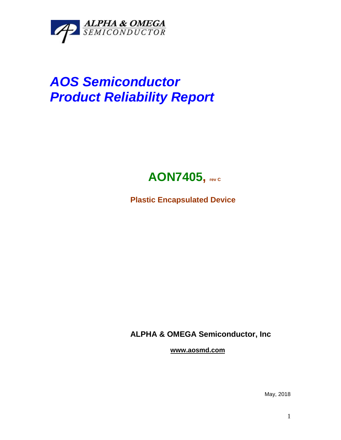

## *AOS Semiconductor Product Reliability Report*



**Plastic Encapsulated Device**

**ALPHA & OMEGA Semiconductor, Inc**

**www.aosmd.com**

May, 2018